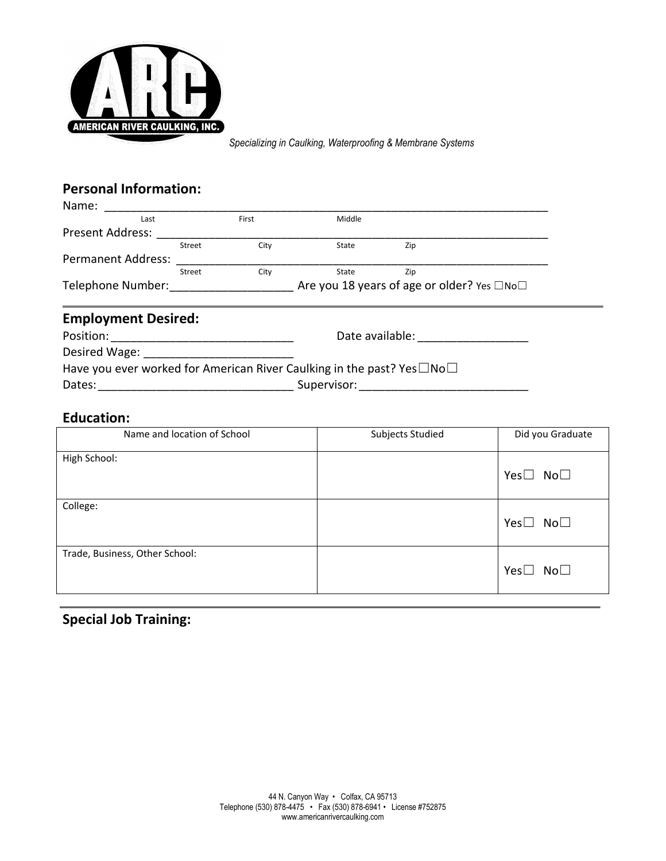

*Specializing in Caulking, Waterproofing & Membrane Systems*

## **Personal Information:**

| Name:                     |        |                                            |        |     |
|---------------------------|--------|--------------------------------------------|--------|-----|
| Last                      |        | First                                      | Middle |     |
| <b>Present Address:</b>   |        |                                            |        |     |
|                           | Street | City                                       | State  | Zip |
| <b>Permanent Address:</b> |        |                                            |        |     |
|                           | Street | City                                       | State  | Zip |
| Telephone Number:         |        | Are you 18 years of age or older? Yes □No□ |        |     |

## **Employment Desired:**

| Position:                                                                                | Date available: |
|------------------------------------------------------------------------------------------|-----------------|
| Desired Wage:                                                                            |                 |
| Have you ever worked for American River Caulking in the past? Yes $\square$ No $\square$ |                 |
| Dates:                                                                                   | Supervisor:     |

### **Education:**

| Name and location of School    | Subjects Studied | Did you Graduate           |
|--------------------------------|------------------|----------------------------|
| High School:                   |                  | $No\square$<br>Yes $\Box$  |
| College:                       |                  | $No\square$<br>Yes $\Box$  |
| Trade, Business, Other School: |                  | Yes $\square$ No $\square$ |

# **Special Job Training:**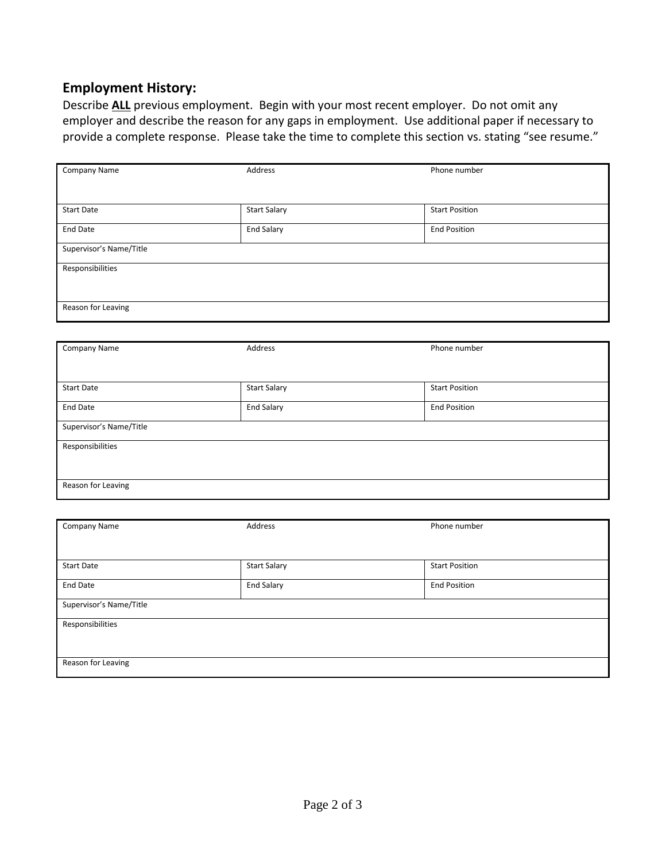## **Employment History:**

Describe **ALL** previous employment. Begin with your most recent employer. Do not omit any employer and describe the reason for any gaps in employment. Use additional paper if necessary to provide a complete response. Please take the time to complete this section vs. stating "see resume."

| Company Name            | Address             | Phone number          |
|-------------------------|---------------------|-----------------------|
|                         |                     |                       |
|                         |                     |                       |
| <b>Start Date</b>       | <b>Start Salary</b> | <b>Start Position</b> |
| <b>End Date</b>         | End Salary          | <b>End Position</b>   |
|                         |                     |                       |
| Supervisor's Name/Title |                     |                       |
| Responsibilities        |                     |                       |
|                         |                     |                       |
|                         |                     |                       |
|                         |                     |                       |
| Reason for Leaving      |                     |                       |
|                         |                     |                       |

| Company Name            | Address             | Phone number          |
|-------------------------|---------------------|-----------------------|
|                         |                     |                       |
| <b>Start Date</b>       | <b>Start Salary</b> | <b>Start Position</b> |
| <b>End Date</b>         | <b>End Salary</b>   | <b>End Position</b>   |
| Supervisor's Name/Title |                     |                       |
| Responsibilities        |                     |                       |
|                         |                     |                       |
| Reason for Leaving      |                     |                       |

| Company Name            | Address             | Phone number          |
|-------------------------|---------------------|-----------------------|
|                         |                     |                       |
|                         |                     |                       |
|                         |                     |                       |
|                         |                     |                       |
| <b>Start Date</b>       | <b>Start Salary</b> | <b>Start Position</b> |
|                         |                     |                       |
| <b>End Date</b>         | <b>End Salary</b>   | <b>End Position</b>   |
|                         |                     |                       |
|                         |                     |                       |
| Supervisor's Name/Title |                     |                       |
|                         |                     |                       |
| Responsibilities        |                     |                       |
|                         |                     |                       |
|                         |                     |                       |
|                         |                     |                       |
|                         |                     |                       |
| Reason for Leaving      |                     |                       |
|                         |                     |                       |
|                         |                     |                       |